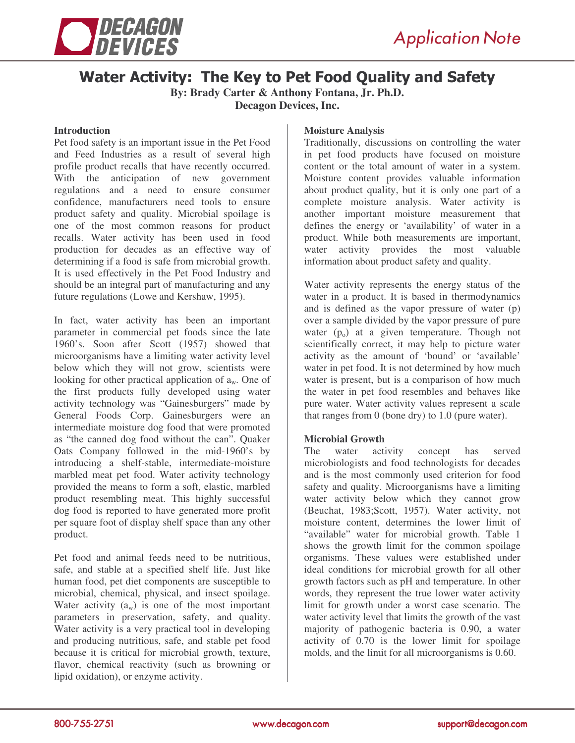



## Water Activity: The Key to Pet Food Quality and Safety

**By: Brady Carter & Anthony Fontana, Jr. Ph.D. Decagon Devices, Inc.**

#### **Introduction**

Pet food safety is an important issue in the Pet Food and Feed Industries as a result of several high profile product recalls that have recently occurred. With the anticipation of new government regulations and a need to ensure consumer confidence, manufacturers need tools to ensure product safety and quality. Microbial spoilage is one of the most common reasons for product recalls. Water activity has been used in food production for decades as an effective way of determining if a food is safe from microbial growth. It is used effectively in the Pet Food Industry and should be an integral part of manufacturing and any future regulations (Lowe and Kershaw, 1995).

In fact, water activity has been an important parameter in commercial pet foods since the late 1960's. Soon after Scott (1957) showed that microorganisms have a limiting water activity level below which they will not grow, scientists were looking for other practical application of  $a_w$ . One of the first products fully developed using water activity technology was "Gainesburgers" made by General Foods Corp. Gainesburgers were an intermediate moisture dog food that were promoted as "the canned dog food without the can". Quaker Oats Company followed in the mid-1960's by introducing a shelf-stable, intermediate-moisture marbled meat pet food. Water activity technology provided the means to form a soft, elastic, marbled product resembling meat. This highly successful dog food is reported to have generated more profit per square foot of display shelf space than any other product.

Pet food and animal feeds need to be nutritious, safe, and stable at a specified shelf life. Just like human food, pet diet components are susceptible to microbial, chemical, physical, and insect spoilage. Water activity  $(a_w)$  is one of the most important parameters in preservation, safety, and quality. Water activity is a very practical tool in developing and producing nutritious, safe, and stable pet food because it is critical for microbial growth, texture, flavor, chemical reactivity (such as browning or lipid oxidation), or enzyme activity.

#### **Moisture Analysis**

Traditionally, discussions on controlling the water in pet food products have focused on moisture content or the total amount of water in a system. Moisture content provides valuable information about product quality, but it is only one part of a complete moisture analysis. Water activity is another important moisture measurement that defines the energy or 'availability' of water in a product. While both measurements are important, water activity provides the most valuable information about product safety and quality.

Water activity represents the energy status of the water in a product. It is based in thermodynamics and is defined as the vapor pressure of water (p) over a sample divided by the vapor pressure of pure water  $(p_0)$  at a given temperature. Though not scientifically correct, it may help to picture water activity as the amount of 'bound' or 'available' water in pet food. It is not determined by how much water is present, but is a comparison of how much the water in pet food resembles and behaves like pure water. Water activity values represent a scale that ranges from 0 (bone dry) to 1.0 (pure water).

### **Microbial Growth**

The water activity concept has served microbiologists and food technologists for decades and is the most commonly used criterion for food safety and quality. Microorganisms have a limiting water activity below which they cannot grow (Beuchat, 1983;Scott, 1957). Water activity, not moisture content, determines the lower limit of "available" water for microbial growth. Table 1 shows the growth limit for the common spoilage organisms. These values were established under ideal conditions for microbial growth for all other growth factors such as pH and temperature. In other words, they represent the true lower water activity limit for growth under a worst case scenario. The water activity level that limits the growth of the vast majority of pathogenic bacteria is 0.90, a water activity of 0.70 is the lower limit for spoilage molds, and the limit for all microorganisms is 0.60.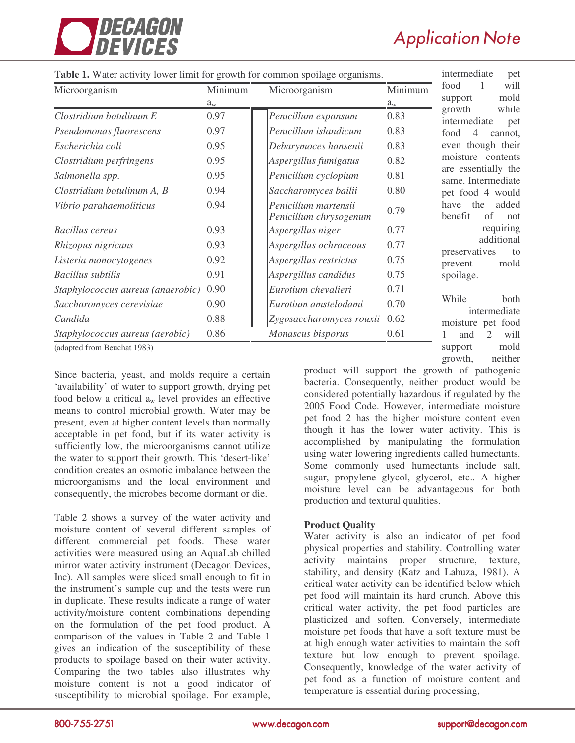

# **Application Note**

growth, neither

| Table 1. Water activity lower limit for growth for common spoilage organisms. | intermediate<br>pet |                                                |             |                                              |
|-------------------------------------------------------------------------------|---------------------|------------------------------------------------|-------------|----------------------------------------------|
| Microorganism                                                                 | Minimum             | Microorganism                                  | Minimum     | food<br>will<br>1                            |
|                                                                               | $a_{\rm w}$         |                                                | $a_{\rm w}$ | mold<br>support<br>while                     |
| Clostridium botulinum E                                                       | 0.97                | Penicillum expansum                            | 0.83        | growth<br>intermediate<br>pet                |
| Pseudomonas fluorescens                                                       | 0.97                | Penicillum islandicum                          | 0.83        | food<br>4<br>cannot.                         |
| Escherichia coli                                                              | 0.95                | Debarymoces hansenii                           | 0.83        | even though their                            |
| Clostridium perfringens                                                       | 0.95                | Aspergillus fumigatus                          | 0.82        | moisture contents                            |
| Salmonella spp.                                                               | 0.95                | Penicillum cyclopium                           | 0.81        | are essentially the<br>same. Intermediate    |
| Clostridium botulinum A, B                                                    | 0.94                | Saccharomyces bailii                           | 0.80        | pet food 4 would                             |
| Vibrio parahaemoliticus                                                       | 0.94                | Penicillum martensii<br>Penicillum chrysogenum | 0.79        | the<br>added<br>have<br>benefit<br>of<br>not |
| Bacillus cereus                                                               | 0.93                | Aspergillus niger                              | 0.77        | requiring                                    |
| Rhizopus nigricans                                                            | 0.93                | Aspergillus ochraceous                         | 0.77        | additional<br>preservatives<br>to            |
| Listeria monocytogenes                                                        | 0.92                | Aspergillus restrictus                         | 0.75        | mold<br>prevent                              |
| Bacillus subtilis                                                             | 0.91                | Aspergillus candidus                           | 0.75        | spoilage.                                    |
| Staphylococcus aureus (anaerobic)                                             | 0.90                | Eurotium chevalieri                            | 0.71        |                                              |
| Saccharomyces cerevisiae                                                      | 0.90                | Eurotium amstelodami                           | 0.70        | While<br>both<br>intermediate                |
| Candida                                                                       | 0.88                | Zygosaccharomyces rouxii                       | 0.62        | moisture pet food                            |
| Staphylococcus aureus (aerobic)                                               | 0.86                | Monascus bisporus                              | 0.61        | will<br>and                                  |
| (adapted from Beuchat 1983).                                                  |                     |                                                |             | mold<br>support                              |

#### **Table 1.** Water activity lower limit for growth for common spoilage organisms.

(adapted from Beuchat 1983)

Since bacteria, yeast, and molds require a certain 'availability' of water to support growth, drying pet food below a critical  $a_w$  level provides an effective means to control microbial growth. Water may be present, even at higher content levels than normally acceptable in pet food, but if its water activity is sufficiently low, the microorganisms cannot utilize the water to support their growth. This 'desert-like' condition creates an osmotic imbalance between the microorganisms and the local environment and consequently, the microbes become dormant or die.

Table 2 shows a survey of the water activity and moisture content of several different samples of different commercial pet foods. These water activities were measured using an AquaLab chilled mirror water activity instrument (Decagon Devices, Inc). All samples were sliced small enough to fit in the instrument's sample cup and the tests were run in duplicate. These results indicate a range of water activity/moisture content combinations depending on the formulation of the pet food product. A comparison of the values in Table 2 and Table 1 gives an indication of the susceptibility of these products to spoilage based on their water activity. Comparing the two tables also illustrates why moisture content is not a good indicator of susceptibility to microbial spoilage. For example,

product will support the growth of pathogenic bacteria. Consequently, neither product would be considered potentially hazardous if regulated by the 2005 Food Code. However, intermediate moisture pet food 2 has the higher moisture content even though it has the lower water activity. This is accomplished by manipulating the formulation using water lowering ingredients called humectants. Some commonly used humectants include salt, sugar, propylene glycol, glycerol, etc.. A higher moisture level can be advantageous for both production and textural qualities.

### **Product Quality**

Water activity is also an indicator of pet food physical properties and stability. Controlling water activity maintains proper structure, texture, stability, and density (Katz and Labuza, 1981). A critical water activity can be identified below which pet food will maintain its hard crunch. Above this critical water activity, the pet food particles are plasticized and soften. Conversely, intermediate moisture pet foods that have a soft texture must be at high enough water activities to maintain the soft texture but low enough to prevent spoilage. Consequently, knowledge of the water activity of pet food as a function of moisture content and temperature is essential during processing,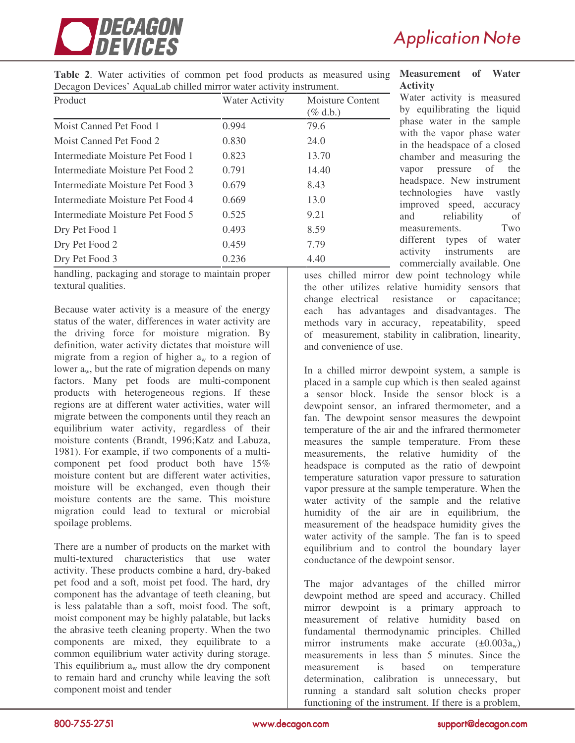

**Table 2**. Water activities of common pet food products as measured using Decagon Devices' AquaLab chilled mirror water activity instrument.

| Product                          | Water Activity | Moisture Content<br>$(\%$ d.b.) |
|----------------------------------|----------------|---------------------------------|
| Moist Canned Pet Food 1          | 0.994          | 79.6                            |
| Moist Canned Pet Food 2          | 0.830          | 24.0                            |
| Intermediate Moisture Pet Food 1 | 0.823          | 13.70                           |
| Intermediate Moisture Pet Food 2 | 0.791          | 14.40                           |
| Intermediate Moisture Pet Food 3 | 0.679          | 8.43                            |
| Intermediate Moisture Pet Food 4 | 0.669          | 13.0                            |
| Intermediate Moisture Pet Food 5 | 0.525          | 9.21                            |
| Dry Pet Food 1                   | 0.493          | 8.59                            |
| Dry Pet Food 2                   | 0.459          | 7.79                            |
| Dry Pet Food 3                   | 0.236          | 4.40                            |

handling, packaging and storage to maintain proper textural qualities.

Because water activity is a measure of the energy status of the water, differences in water activity are the driving force for moisture migration. By definition, water activity dictates that moisture will migrate from a region of higher  $a_w$  to a region of lower  $a_w$ , but the rate of migration depends on many factors. Many pet foods are multi-component products with heterogeneous regions. If these regions are at different water activities, water will migrate between the components until they reach an equilibrium water activity, regardless of their moisture contents (Brandt, 1996;Katz and Labuza, 1981). For example, if two components of a multicomponent pet food product both have 15% moisture content but are different water activities, moisture will be exchanged, even though their moisture contents are the same. This moisture migration could lead to textural or microbial spoilage problems.

There are a number of products on the market with multi-textured characteristics that use water activity. These products combine a hard, dry-baked pet food and a soft, moist pet food. The hard, dry component has the advantage of teeth cleaning, but is less palatable than a soft, moist food. The soft, moist component may be highly palatable, but lacks the abrasive teeth cleaning property. When the two components are mixed, they equilibrate to a common equilibrium water activity during storage. This equilibrium  $a_w$  must allow the dry component to remain hard and crunchy while leaving the soft component moist and tender

#### **Measurement of Water Activity**

Water activity is measured by equilibrating the liquid phase water in the sample with the vapor phase water in the headspace of a closed chamber and measuring the vapor pressure of the headspace. New instrument technologies have vastly improved speed, accuracy and reliability of measurements. Two different types of water activity instruments are commercially available. One

uses chilled mirror dew point technology while the other utilizes relative humidity sensors that change electrical resistance or capacitance; each has advantages and disadvantages. The methods vary in accuracy, repeatability, speed of measurement, stability in calibration, linearity, and convenience of use.

In a chilled mirror dewpoint system, a sample is placed in a sample cup which is then sealed against a sensor block. Inside the sensor block is a dewpoint sensor, an infrared thermometer, and a fan. The dewpoint sensor measures the dewpoint temperature of the air and the infrared thermometer measures the sample temperature. From these measurements, the relative humidity of the headspace is computed as the ratio of dewpoint temperature saturation vapor pressure to saturation vapor pressure at the sample temperature. When the water activity of the sample and the relative humidity of the air are in equilibrium, the measurement of the headspace humidity gives the water activity of the sample. The fan is to speed equilibrium and to control the boundary layer conductance of the dewpoint sensor.

The major advantages of the chilled mirror dewpoint method are speed and accuracy. Chilled mirror dewpoint is a primary approach to measurement of relative humidity based on fundamental thermodynamic principles. Chilled mirror instruments make accurate  $(\pm 0.003a_w)$ measurements in less than 5 minutes. Since the measurement is based on temperature determination, calibration is unnecessary, but running a standard salt solution checks proper functioning of the instrument. If there is a problem,